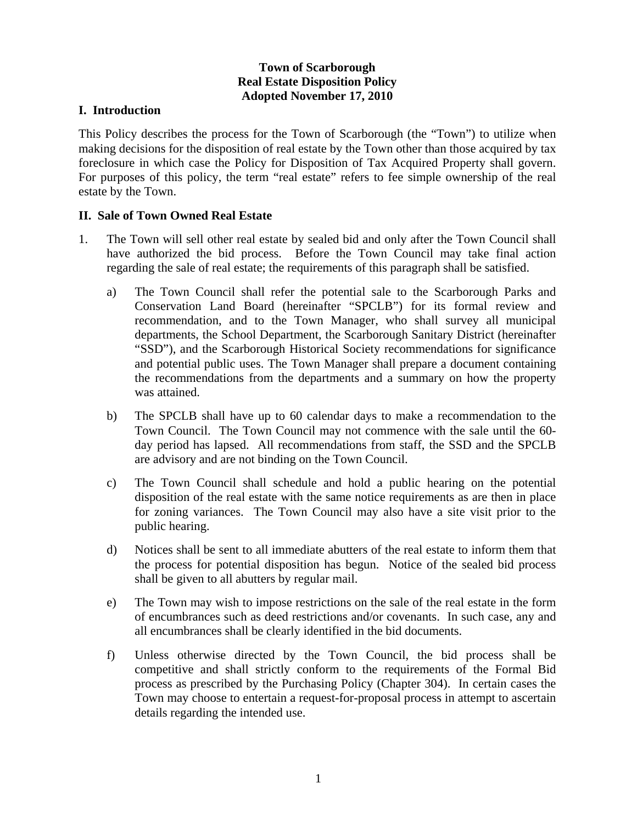## **Town of Scarborough Real Estate Disposition Policy Adopted November 17, 2010**

## **I. Introduction**

This Policy describes the process for the Town of Scarborough (the "Town") to utilize when making decisions for the disposition of real estate by the Town other than those acquired by tax foreclosure in which case the Policy for Disposition of Tax Acquired Property shall govern. For purposes of this policy, the term "real estate" refers to fee simple ownership of the real estate by the Town.

## **II. Sale of Town Owned Real Estate**

- 1. The Town will sell other real estate by sealed bid and only after the Town Council shall have authorized the bid process. Before the Town Council may take final action regarding the sale of real estate; the requirements of this paragraph shall be satisfied.
	- a) The Town Council shall refer the potential sale to the Scarborough Parks and Conservation Land Board (hereinafter "SPCLB") for its formal review and recommendation, and to the Town Manager, who shall survey all municipal departments, the School Department, the Scarborough Sanitary District (hereinafter "SSD"), and the Scarborough Historical Society recommendations for significance and potential public uses. The Town Manager shall prepare a document containing the recommendations from the departments and a summary on how the property was attained.
	- b) The SPCLB shall have up to 60 calendar days to make a recommendation to the Town Council. The Town Council may not commence with the sale until the 60 day period has lapsed. All recommendations from staff, the SSD and the SPCLB are advisory and are not binding on the Town Council.
	- c) The Town Council shall schedule and hold a public hearing on the potential disposition of the real estate with the same notice requirements as are then in place for zoning variances. The Town Council may also have a site visit prior to the public hearing.
	- d) Notices shall be sent to all immediate abutters of the real estate to inform them that the process for potential disposition has begun. Notice of the sealed bid process shall be given to all abutters by regular mail.
	- e) The Town may wish to impose restrictions on the sale of the real estate in the form of encumbrances such as deed restrictions and/or covenants. In such case, any and all encumbrances shall be clearly identified in the bid documents.
	- f) Unless otherwise directed by the Town Council, the bid process shall be competitive and shall strictly conform to the requirements of the Formal Bid process as prescribed by the Purchasing Policy (Chapter 304). In certain cases the Town may choose to entertain a request-for-proposal process in attempt to ascertain details regarding the intended use.